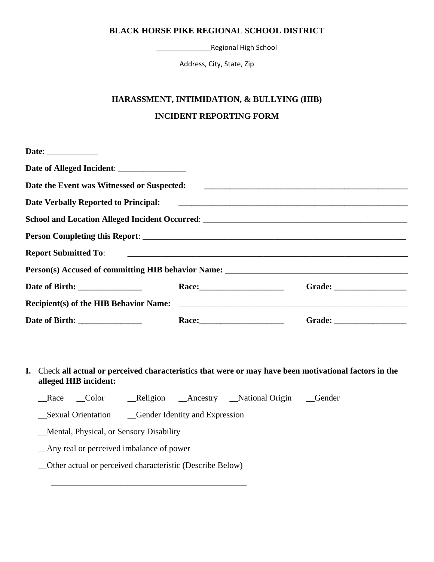\_\_\_\_\_\_\_\_\_\_\_\_\_\_Regional High School

Address, City, State, Zip

#### **HARASSMENT, INTIMIDATION, & BULLYING (HIB)**

## **INCIDENT REPORTING FORM**

| Date: $\qquad \qquad$                       |                                                                                                                                                                                                                                |  |
|---------------------------------------------|--------------------------------------------------------------------------------------------------------------------------------------------------------------------------------------------------------------------------------|--|
|                                             |                                                                                                                                                                                                                                |  |
| Date the Event was Witnessed or Suspected:  |                                                                                                                                                                                                                                |  |
| <b>Date Verbally Reported to Principal:</b> |                                                                                                                                                                                                                                |  |
|                                             |                                                                                                                                                                                                                                |  |
|                                             |                                                                                                                                                                                                                                |  |
|                                             |                                                                                                                                                                                                                                |  |
|                                             |                                                                                                                                                                                                                                |  |
|                                             | Race: National Property of the Contract of the Contract of the Contract of the Contract of the Contract of the Contract of the Contract of the Contract of the Contract of the Contract of the Contract of the Contract of the |  |
| Recipient(s) of the HIB Behavior Name:      |                                                                                                                                                                                                                                |  |
|                                             |                                                                                                                                                                                                                                |  |

**I.** Check **all actual or perceived characteristics that were or may have been motivational factors in the alleged HIB incident:**

\_\_Race \_\_Color \_\_\_Religion \_\_Ancestry \_\_National Origin \_\_Gender

\_\_Sexual Orientation \_\_Gender Identity and Expression

\_\_Mental, Physical, or Sensory Disability

\_\_Any real or perceived imbalance of power

\_\_Other actual or perceived characteristic (Describe Below)

 $\overline{\phantom{a}}$  ,  $\overline{\phantom{a}}$  ,  $\overline{\phantom{a}}$  ,  $\overline{\phantom{a}}$  ,  $\overline{\phantom{a}}$  ,  $\overline{\phantom{a}}$  ,  $\overline{\phantom{a}}$  ,  $\overline{\phantom{a}}$  ,  $\overline{\phantom{a}}$  ,  $\overline{\phantom{a}}$  ,  $\overline{\phantom{a}}$  ,  $\overline{\phantom{a}}$  ,  $\overline{\phantom{a}}$  ,  $\overline{\phantom{a}}$  ,  $\overline{\phantom{a}}$  ,  $\overline{\phantom{a}}$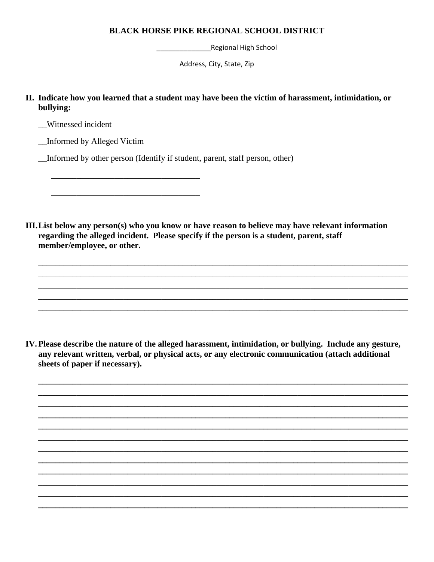Regional High School

Address, City, State, Zip

II. Indicate how you learned that a student may have been the victim of harassment, intimidation, or bullying:

Witnessed incident

\_Informed by Alleged Victim

Informed by other person (Identify if student, parent, staff person, other)

III. List below any person(s) who you know or have reason to believe may have relevant information regarding the alleged incident. Please specify if the person is a student, parent, staff member/employee, or other.

IV. Please describe the nature of the alleged harassment, intimidation, or bullying. Include any gesture, any relevant written, verbal, or physical acts, or any electronic communication (attach additional sheets of paper if necessary).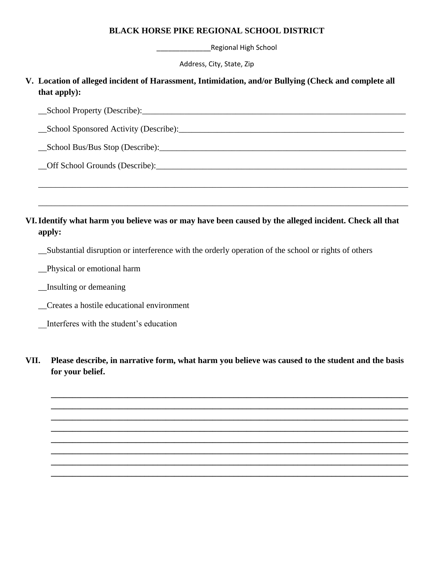\_\_\_\_\_\_\_\_\_\_\_\_\_\_Regional High School

Address, City, State, Zip

## **V. Location of alleged incident of Harassment, Intimidation, and/or Bullying (Check and complete all that apply):**

| - 14<br>æ<br>1 J t<br>.<br>. .<br>``<br>.<br>__<br>$-$ |  |
|--------------------------------------------------------|--|
|                                                        |  |

\_\_\_\_\_\_\_\_\_\_\_\_\_\_\_\_\_\_\_\_\_\_\_\_\_\_\_\_\_\_\_\_\_\_\_\_\_\_\_\_\_\_\_\_\_\_\_\_\_\_\_\_\_\_\_\_\_\_\_\_\_\_\_\_\_\_\_\_\_\_\_\_\_\_\_\_\_\_\_\_\_\_\_\_\_\_\_

\_\_\_\_\_\_\_\_\_\_\_\_\_\_\_\_\_\_\_\_\_\_\_\_\_\_\_\_\_\_\_\_\_\_\_\_\_\_\_\_\_\_\_\_\_\_\_\_\_\_\_\_\_\_\_\_\_\_\_\_\_\_\_\_\_\_\_\_\_\_\_\_\_\_\_\_\_\_\_\_\_\_\_\_\_\_\_

\_\_School Sponsored Activity (Describe):\_\_\_\_\_\_\_\_\_\_\_\_\_\_\_\_\_\_\_\_\_\_\_\_\_\_\_\_\_\_\_\_\_\_\_\_\_\_\_\_\_\_\_\_\_\_\_\_\_\_\_\_\_

 $\_\_\$ School Bus/Bus Stop (Describe): $\_\_\_\_\_\_\_\_\_\_$ 

\_\_Off School Grounds (Describe):\_\_\_\_\_\_\_\_\_\_\_\_\_\_\_\_\_\_\_\_\_\_\_\_\_\_\_\_\_\_\_\_\_\_\_\_\_\_\_\_\_\_\_\_\_\_\_\_\_\_\_\_\_\_\_\_\_\_\_

# **VI.Identify what harm you believe was or may have been caused by the alleged incident. Check all that apply:**

\_\_Substantial disruption or interference with the orderly operation of the school or rights of others

\_\_Physical or emotional harm

\_\_Insulting or demeaning

\_\_Creates a hostile educational environment

\_\_Interferes with the student's education

**VII. Please describe, in narrative form, what harm you believe was caused to the student and the basis for your belief.**